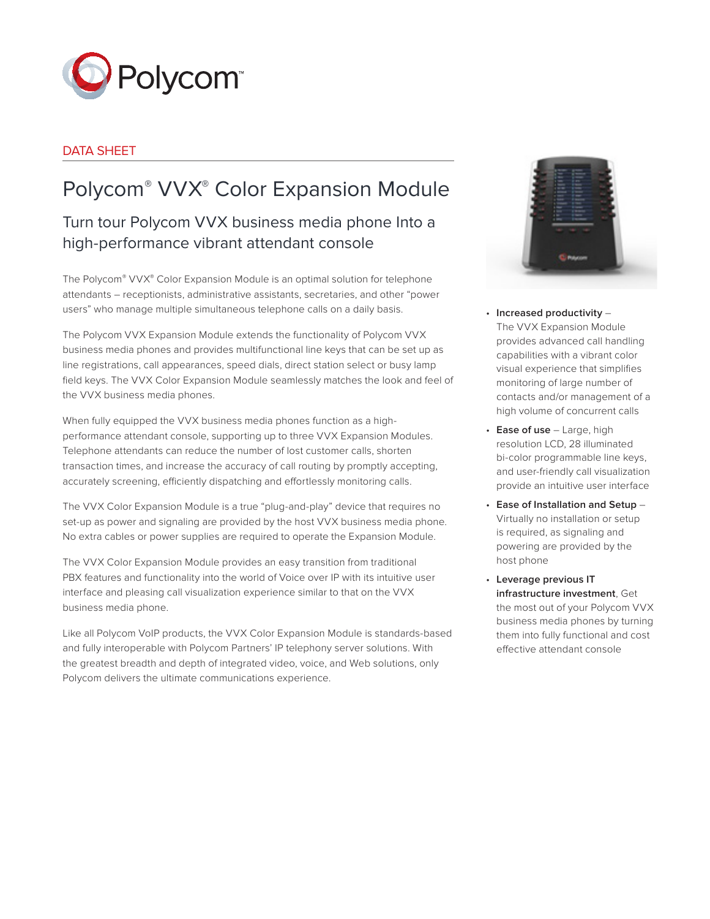

### DATA SHEET

# Polycom® VVX® Color Expansion Module

## Turn tour Polycom VVX business media phone Into a high-performance vibrant attendant console

The Polycom® VVX® Color Expansion Module is an optimal solution for telephone attendants – receptionists, administrative assistants, secretaries, and other "power users" who manage multiple simultaneous telephone calls on a daily basis.

The Polycom VVX Expansion Module extends the functionality of Polycom VVX business media phones and provides multifunctional line keys that can be set up as line registrations, call appearances, speed dials, direct station select or busy lamp field keys. The VVX Color Expansion Module seamlessly matches the look and feel of the VVX business media phones.

When fully equipped the VVX business media phones function as a highperformance attendant console, supporting up to three VVX Expansion Modules. Telephone attendants can reduce the number of lost customer calls, shorten transaction times, and increase the accuracy of call routing by promptly accepting, accurately screening, efficiently dispatching and effortlessly monitoring calls.

The VVX Color Expansion Module is a true "plug-and-play" device that requires no set-up as power and signaling are provided by the host VVX business media phone. No extra cables or power supplies are required to operate the Expansion Module.

The VVX Color Expansion Module provides an easy transition from traditional PBX features and functionality into the world of Voice over IP with its intuitive user interface and pleasing call visualization experience similar to that on the VVX business media phone.

Like all Polycom VoIP products, the VVX Color Expansion Module is standards-based and fully interoperable with Polycom Partners' IP telephony server solutions. With the greatest breadth and depth of integrated video, voice, and Web solutions, only Polycom delivers the ultimate communications experience.



- • **Increased productivity** The VVX Expansion Module provides advanced call handling capabilities with a vibrant color visual experience that simplifies monitoring of large number of contacts and/or management of a high volume of concurrent calls
- • **Ease of use** Large, high resolution LCD, 28 illuminated bi-color programmable line keys, and user-friendly call visualization provide an intuitive user interface
- • **Ease of Installation and Setup** Virtually no installation or setup is required, as signaling and powering are provided by the host phone
- • **Leverage previous IT infrastructure investment**, Get the most out of your Polycom VVX business media phones by turning them into fully functional and cost effective attendant console